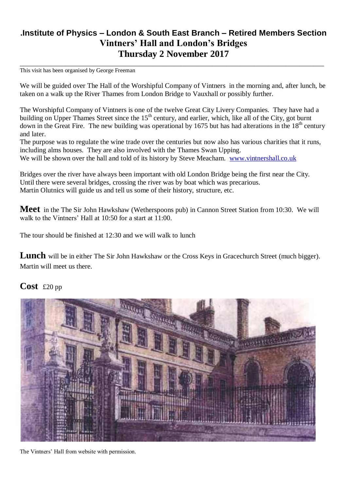## **.Institute of Physics – London & South East Branch – Retired Members Section Vintners' Hall and London's Bridges Thursday 2 November 2017**

\_\_\_\_\_\_\_\_\_\_\_\_\_\_\_\_\_\_\_\_\_\_\_\_\_\_\_\_\_\_\_\_\_\_\_\_\_\_\_\_\_\_\_\_\_\_\_\_\_\_\_\_\_\_\_\_\_\_\_\_\_\_\_\_\_\_\_\_\_\_\_\_\_\_\_\_\_\_\_\_\_\_\_\_\_\_\_

This visit has been organised by George Freeman

We will be guided over The Hall of the Worshipful Company of Vintners in the morning and, after lunch, be taken on a walk up the River Thames from London Bridge to Vauxhall or possibly further.

The Worshipful Company of Vintners is one of the twelve Great City Livery Companies. They have had a building on Upper Thames Street since the 15<sup>th</sup> century, and earlier, which, like all of the City, got burnt down in the Great Fire. The new building was operational by 1675 but has had alterations in the  $18^{th}$  century and later.

The purpose was to regulate the wine trade over the centuries but now also has various charities that it runs, including alms houses. They are also involved with the Thames Swan Upping. We will be shown over the hall and told of its history by Steve Meacham. [www.vintnershall.co.uk](http://www.vintnershall.co.uk/)

Bridges over the river have always been important with old London Bridge being the first near the City. Until there were several bridges, crossing the river was by boat which was precarious. Martin Olutnics will guide us and tell us some of their history, structure, etc.

**Meet** in the The Sir John Hawkshaw (Wetherspoons pub) in Cannon Street Station from 10:30. We will walk to the Vintners' Hall at 10:50 for a start at 11:00.

The tour should be finished at 12:30 and we will walk to lunch

Lunch will be in either The Sir John Hawkshaw or the Cross Keys in Gracechurch Street (much bigger). Martin will meet us there.

## **Cost** £20 pp



The Vintners' Hall from website with permission.